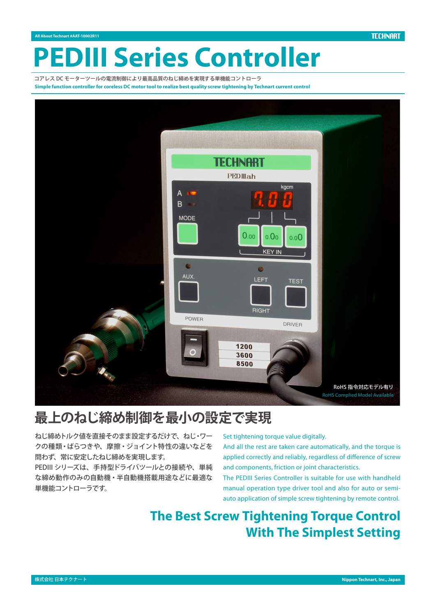# **II Series Controller**

コアレス DC モーターツールの電流制御により最高品質のねじ締めを実現する単機能コントローラ Simple function controller for coreless DC motor tool to realize best quality screw tightening by Technart current control



# **最上のねじ締め制御を最小の設定で実現**

ねじ締めトルク値を直接そのまま設定するだけで、ねじ・ワー クの種類・ばらつきや、摩擦・ジョイント特性の違いなどを 問わず、常に安定したねじ締めを実現します。

PEDIIIシリーズは、手持型ドライバツールとの接続や、単純 な締め動作のみの自動機・半自動機搭載用途などに最適な 単機能コントローラです。

Set tightening torque value digitally.

And all the rest are taken care automatically, and the torque is applied correctly and reliably, regardless of difference of screw and components, friction or joint characteristics.

The PEDIII Series Controller is suitable for use with handheld auto application of simple screw tightening by remote control. manual operation type driver tool and also for auto or semi-

# **The Best Screw Tightening Torque Control With The Simplest Setting**